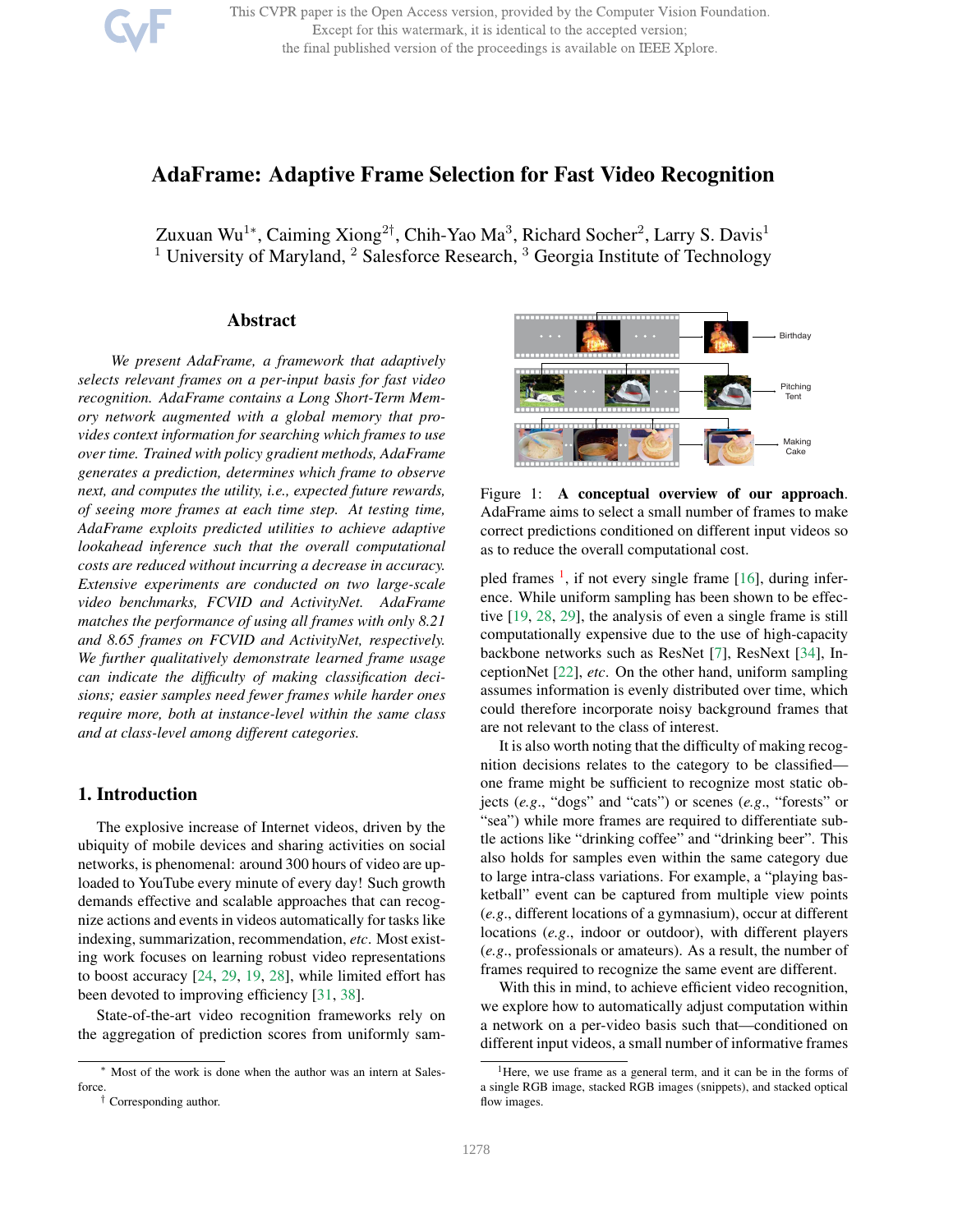This CVPR paper is the Open Access version, provided by the Computer Vision Foundation. Except for this watermark, it is identical to the accepted version; the final published version of the proceedings is available on IEEE Xplore.

# AdaFrame: Adaptive Frame Selection for Fast Video Recognition

Zuxuan Wu<sup>1∗</sup>, Caiming Xiong<sup>2†</sup>, Chih-Yao Ma<sup>3</sup>, Richard Socher<sup>2</sup>, Larry S. Davis<sup>1</sup> <sup>1</sup> University of Maryland,  $2$  Salesforce Research,  $3$  Georgia Institute of Technology

### Abstract

*We present AdaFrame, a framework that adaptively selects relevant frames on a per-input basis for fast video recognition. AdaFrame contains a Long Short-Term Memory network augmented with a global memory that provides context information for searching which frames to use over time. Trained with policy gradient methods, AdaFrame generates a prediction, determines which frame to observe next, and computes the utility, i.e., expected future rewards, of seeing more frames at each time step. At testing time, AdaFrame exploits predicted utilities to achieve adaptive lookahead inference such that the overall computational costs are reduced without incurring a decrease in accuracy. Extensive experiments are conducted on two large-scale video benchmarks, FCVID and ActivityNet. AdaFrame matches the performance of using all frames with only 8.21 and 8.65 frames on FCVID and ActivityNet, respectively. We further qualitatively demonstrate learned frame usage can indicate the difficulty of making classification decisions; easier samples need fewer frames while harder ones require more, both at instance-level within the same class and at class-level among different categories.*

# 1. Introduction

The explosive increase of Internet videos, driven by the ubiquity of mobile devices and sharing activities on social networks, is phenomenal: around 300 hours of video are uploaded to YouTube every minute of every day! Such growth demands effective and scalable approaches that can recognize actions and events in videos automatically for tasks like indexing, summarization, recommendation, *etc*. Most existing work focuses on learning robust video representations to boost accuracy [24, 29, 19, 28], while limited effort has been devoted to improving efficiency [31, 38].

State-of-the-art video recognition frameworks rely on the aggregation of prediction scores from uniformly sam-



Figure 1: A conceptual overview of our approach. AdaFrame aims to select a small number of frames to make correct predictions conditioned on different input videos so as to reduce the overall computational cost.

pled frames <sup>1</sup>, if not every single frame [16], during inference. While uniform sampling has been shown to be effective [19, 28, 29], the analysis of even a single frame is still computationally expensive due to the use of high-capacity backbone networks such as ResNet [7], ResNext [34], InceptionNet [22], *etc*. On the other hand, uniform sampling assumes information is evenly distributed over time, which could therefore incorporate noisy background frames that are not relevant to the class of interest.

It is also worth noting that the difficulty of making recognition decisions relates to the category to be classified one frame might be sufficient to recognize most static objects (*e.g*., "dogs" and "cats") or scenes (*e.g*., "forests" or "sea") while more frames are required to differentiate subtle actions like "drinking coffee" and "drinking beer". This also holds for samples even within the same category due to large intra-class variations. For example, a "playing basketball" event can be captured from multiple view points (*e.g*., different locations of a gymnasium), occur at different locations (*e.g*., indoor or outdoor), with different players (*e.g*., professionals or amateurs). As a result, the number of frames required to recognize the same event are different.

With this in mind, to achieve efficient video recognition, we explore how to automatically adjust computation within a network on a per-video basis such that—conditioned on different input videos, a small number of informative frames

<sup>∗</sup> Most of the work is done when the author was an intern at Salesforce.

<sup>†</sup> Corresponding author.

<sup>&</sup>lt;sup>1</sup>Here, we use frame as a general term, and it can be in the forms of a single RGB image, stacked RGB images (snippets), and stacked optical flow images.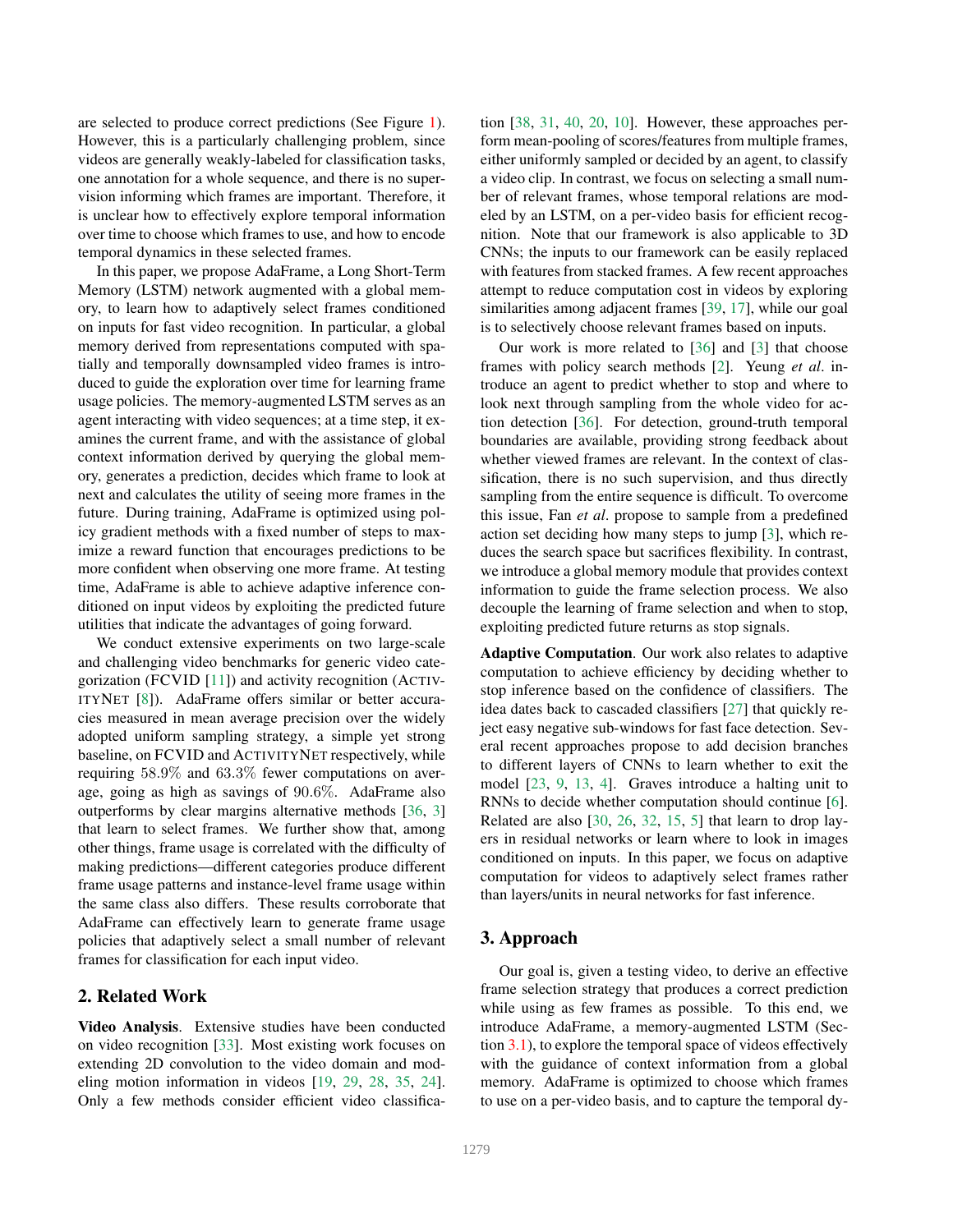are selected to produce correct predictions (See Figure 1). However, this is a particularly challenging problem, since videos are generally weakly-labeled for classification tasks, one annotation for a whole sequence, and there is no supervision informing which frames are important. Therefore, it is unclear how to effectively explore temporal information over time to choose which frames to use, and how to encode temporal dynamics in these selected frames.

In this paper, we propose AdaFrame, a Long Short-Term Memory (LSTM) network augmented with a global memory, to learn how to adaptively select frames conditioned on inputs for fast video recognition. In particular, a global memory derived from representations computed with spatially and temporally downsampled video frames is introduced to guide the exploration over time for learning frame usage policies. The memory-augmented LSTM serves as an agent interacting with video sequences; at a time step, it examines the current frame, and with the assistance of global context information derived by querying the global memory, generates a prediction, decides which frame to look at next and calculates the utility of seeing more frames in the future. During training, AdaFrame is optimized using policy gradient methods with a fixed number of steps to maximize a reward function that encourages predictions to be more confident when observing one more frame. At testing time, AdaFrame is able to achieve adaptive inference conditioned on input videos by exploiting the predicted future utilities that indicate the advantages of going forward.

We conduct extensive experiments on two large-scale and challenging video benchmarks for generic video categorization (FCVID [11]) and activity recognition (ACTIV-ITYNET [8]). AdaFrame offers similar or better accuracies measured in mean average precision over the widely adopted uniform sampling strategy, a simple yet strong baseline, on FCVID and ACTIVITYNET respectively, while requiring 58.9% and 63.3% fewer computations on average, going as high as savings of 90.6%. AdaFrame also outperforms by clear margins alternative methods [36, 3] that learn to select frames. We further show that, among other things, frame usage is correlated with the difficulty of making predictions—different categories produce different frame usage patterns and instance-level frame usage within the same class also differs. These results corroborate that AdaFrame can effectively learn to generate frame usage policies that adaptively select a small number of relevant frames for classification for each input video.

### 2. Related Work

Video Analysis. Extensive studies have been conducted on video recognition [33]. Most existing work focuses on extending 2D convolution to the video domain and modeling motion information in videos [19, 29, 28, 35, 24]. Only a few methods consider efficient video classification [38, 31, 40, 20, 10]. However, these approaches perform mean-pooling of scores/features from multiple frames, either uniformly sampled or decided by an agent, to classify a video clip. In contrast, we focus on selecting a small number of relevant frames, whose temporal relations are modeled by an LSTM, on a per-video basis for efficient recognition. Note that our framework is also applicable to 3D CNNs; the inputs to our framework can be easily replaced with features from stacked frames. A few recent approaches attempt to reduce computation cost in videos by exploring similarities among adjacent frames [39, 17], while our goal is to selectively choose relevant frames based on inputs.

Our work is more related to [36] and [3] that choose frames with policy search methods [2]. Yeung *et al*. introduce an agent to predict whether to stop and where to look next through sampling from the whole video for action detection [36]. For detection, ground-truth temporal boundaries are available, providing strong feedback about whether viewed frames are relevant. In the context of classification, there is no such supervision, and thus directly sampling from the entire sequence is difficult. To overcome this issue, Fan *et al*. propose to sample from a predefined action set deciding how many steps to jump [3], which reduces the search space but sacrifices flexibility. In contrast, we introduce a global memory module that provides context information to guide the frame selection process. We also decouple the learning of frame selection and when to stop, exploiting predicted future returns as stop signals.

Adaptive Computation. Our work also relates to adaptive computation to achieve efficiency by deciding whether to stop inference based on the confidence of classifiers. The idea dates back to cascaded classifiers [27] that quickly reject easy negative sub-windows for fast face detection. Several recent approaches propose to add decision branches to different layers of CNNs to learn whether to exit the model [23, 9, 13, 4]. Graves introduce a halting unit to RNNs to decide whether computation should continue [6]. Related are also [30, 26, 32, 15, 5] that learn to drop layers in residual networks or learn where to look in images conditioned on inputs. In this paper, we focus on adaptive computation for videos to adaptively select frames rather than layers/units in neural networks for fast inference.

#### 3. Approach

Our goal is, given a testing video, to derive an effective frame selection strategy that produces a correct prediction while using as few frames as possible. To this end, we introduce AdaFrame, a memory-augmented LSTM (Section 3.1), to explore the temporal space of videos effectively with the guidance of context information from a global memory. AdaFrame is optimized to choose which frames to use on a per-video basis, and to capture the temporal dy-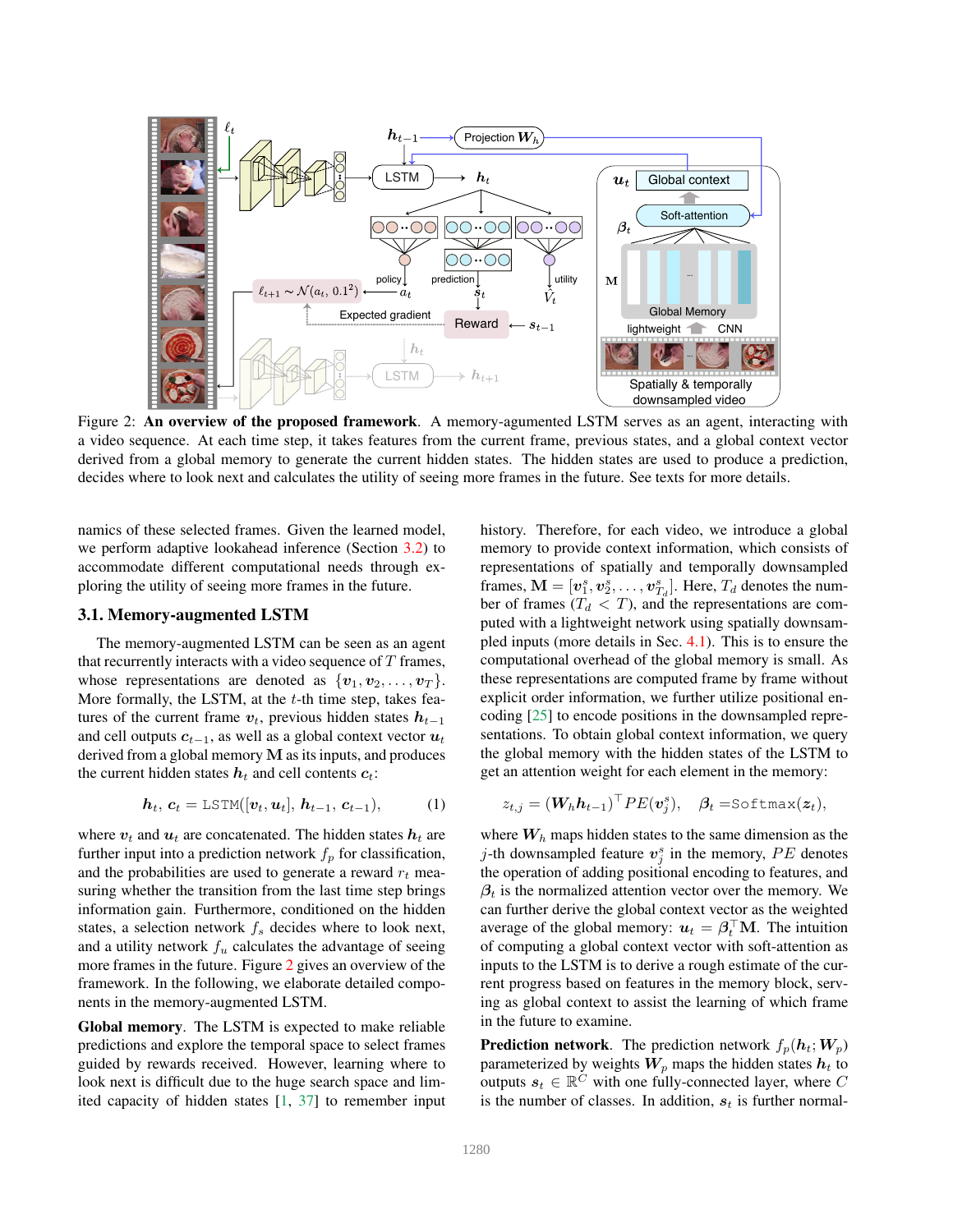

Figure 2: An overview of the proposed framework. A memory-agumented LSTM serves as an agent, interacting with a video sequence. At each time step, it takes features from the current frame, previous states, and a global context vector derived from a global memory to generate the current hidden states. The hidden states are used to produce a prediction, decides where to look next and calculates the utility of seeing more frames in the future. See texts for more details.

namics of these selected frames. Given the learned model, we perform adaptive lookahead inference (Section 3.2) to accommodate different computational needs through exploring the utility of seeing more frames in the future.

#### 3.1. Memory-augmented LSTM

The memory-augmented LSTM can be seen as an agent that recurrently interacts with a video sequence of  $T$  frames, whose representations are denoted as  $\{v_1, v_2, \ldots, v_T\}$ . More formally, the LSTM, at the  $t$ -th time step, takes features of the current frame  $v_t$ , previous hidden states  $h_{t-1}$ and cell outputs  $c_{t-1}$ , as well as a global context vector  $u_t$ derived from a global memory  $M$  as its inputs, and produces the current hidden states  $h_t$  and cell contents  $c_t$ :

$$
\boldsymbol{h}_t, \, \boldsymbol{c}_t = \text{LSTM}([\boldsymbol{v}_t, \boldsymbol{u}_t], \, \boldsymbol{h}_{t-1}, \, \boldsymbol{c}_{t-1}), \tag{1}
$$

where  $v_t$  and  $u_t$  are concatenated. The hidden states  $h_t$  are further input into a prediction network  $f_p$  for classification, and the probabilities are used to generate a reward  $r_t$  measuring whether the transition from the last time step brings information gain. Furthermore, conditioned on the hidden states, a selection network  $f_s$  decides where to look next, and a utility network  $f_u$  calculates the advantage of seeing more frames in the future. Figure 2 gives an overview of the framework. In the following, we elaborate detailed components in the memory-augmented LSTM.

Global memory. The LSTM is expected to make reliable predictions and explore the temporal space to select frames guided by rewards received. However, learning where to look next is difficult due to the huge search space and limited capacity of hidden states [1, 37] to remember input history. Therefore, for each video, we introduce a global memory to provide context information, which consists of representations of spatially and temporally downsampled frames,  $\mathbf{M} = [\boldsymbol{v}_1^s, \boldsymbol{v}_2^s, \dots, \boldsymbol{v}_{T_d}^s]$ . Here,  $T_d$  denotes the number of frames ( $T_d < T$ ), and the representations are computed with a lightweight network using spatially downsampled inputs (more details in Sec. 4.1). This is to ensure the computational overhead of the global memory is small. As these representations are computed frame by frame without explicit order information, we further utilize positional encoding [25] to encode positions in the downsampled representations. To obtain global context information, we query the global memory with the hidden states of the LSTM to get an attention weight for each element in the memory:

$$
z_{t,j} = (\mathbf{W}_h \mathbf{h}_{t-1})^\top P E(\mathbf{v}_j^s), \quad \boldsymbol{\beta}_t = \text{Softmax}(\boldsymbol{z}_t),
$$

where  $W<sub>h</sub>$  maps hidden states to the same dimension as the j-th downsampled feature  $v_j^s$  in the memory, PE denotes the operation of adding positional encoding to features, and  $\beta_t$  is the normalized attention vector over the memory. We can further derive the global context vector as the weighted average of the global memory:  $\mathbf{u}_t = \boldsymbol{\beta}_t^\top \mathbf{M}$ . The intuition of computing a global context vector with soft-attention as inputs to the LSTM is to derive a rough estimate of the current progress based on features in the memory block, serving as global context to assist the learning of which frame in the future to examine.

**Prediction network**. The prediction network  $f_p(h_t;W_p)$ parameterized by weights  $W_p$  maps the hidden states  $h_t$  to outputs  $s_t \in \mathbb{R}^C$  with one fully-connected layer, where C is the number of classes. In addition,  $s_t$  is further normal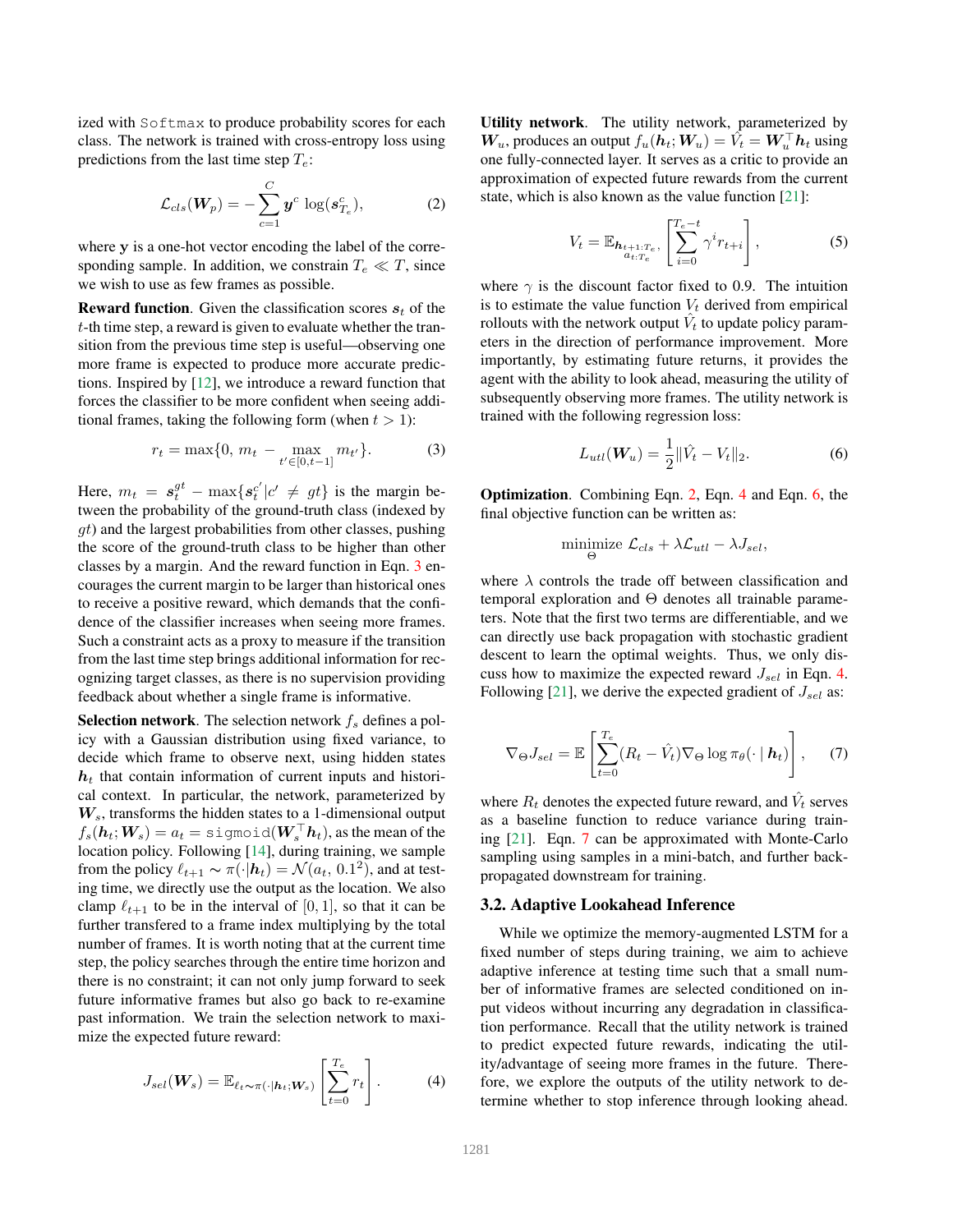ized with Softmax to produce probability scores for each class. The network is trained with cross-entropy loss using predictions from the last time step  $T_e$ :

$$
\mathcal{L}_{cls}(\boldsymbol{W}_p) = -\sum_{c=1}^{C} \boldsymbol{y}^c \, \log(\boldsymbol{s}_{T_e}^c), \tag{2}
$$

where y is a one-hot vector encoding the label of the corresponding sample. In addition, we constrain  $T_e \ll T$ , since we wish to use as few frames as possible.

**Reward function.** Given the classification scores  $s_t$  of the t-th time step, a reward is given to evaluate whether the transition from the previous time step is useful—observing one more frame is expected to produce more accurate predictions. Inspired by [12], we introduce a reward function that forces the classifier to be more confident when seeing additional frames, taking the following form (when  $t > 1$ ):

$$
r_t = \max\{0, \, m_t - \max_{t' \in [0, t-1]} m_{t'}\}.
$$
 (3)

Here,  $m_t = s_t^{gt} - \max\{s_t^{c'}\}$  $t_i^{c'} | c' \neq gt$  is the margin between the probability of the ground-truth class (indexed by  $qt$ ) and the largest probabilities from other classes, pushing the score of the ground-truth class to be higher than other classes by a margin. And the reward function in Eqn. 3 encourages the current margin to be larger than historical ones to receive a positive reward, which demands that the confidence of the classifier increases when seeing more frames. Such a constraint acts as a proxy to measure if the transition from the last time step brings additional information for recognizing target classes, as there is no supervision providing feedback about whether a single frame is informative.

**Selection network.** The selection network  $f_s$  defines a policy with a Gaussian distribution using fixed variance, to decide which frame to observe next, using hidden states  $h_t$  that contain information of current inputs and historical context. In particular, the network, parameterized by  $W_s$ , transforms the hidden states to a 1-dimensional output  $f_s(\boldsymbol{h}_t;\boldsymbol{W}_s)=a_t=\text{sigmoid}(\boldsymbol{W}_s^\top \boldsymbol{h}_t),$  as the mean of the location policy. Following [14], during training, we sample from the policy  $\ell_{t+1} \sim \pi(\cdot | \mathbf{h}_t) = \mathcal{N}(a_t, 0.1^2)$ , and at testing time, we directly use the output as the location. We also clamp  $\ell_{t+1}$  to be in the interval of [0, 1], so that it can be further transfered to a frame index multiplying by the total number of frames. It is worth noting that at the current time step, the policy searches through the entire time horizon and there is no constraint; it can not only jump forward to seek future informative frames but also go back to re-examine past information. We train the selection network to maximize the expected future reward:

$$
J_{sel}(\boldsymbol{W}_s) = \mathbb{E}_{\ell_t \sim \pi(\cdot|\boldsymbol{h}_t; \boldsymbol{W}_s)} \left[ \sum_{t=0}^{T_e} r_t \right]. \tag{4}
$$

Utility network. The utility network, parameterized by  $W_u$ , produces an output  $f_u(h_t; W_u) = \hat{V}_t = W_u^{\top} h_t$  using one fully-connected layer. It serves as a critic to provide an approximation of expected future rewards from the current state, which is also known as the value function [21]:

$$
V_t = \mathbb{E}_{\substack{\mathbf{h}_{t+1:T_e}, \\ a_{t:T_e}}} \left[ \sum_{i=0}^{T_e - t} \gamma^i r_{t+i} \right],
$$
 (5)

where  $\gamma$  is the discount factor fixed to 0.9. The intuition is to estimate the value function  $V_t$  derived from empirical rollouts with the network output  $\hat{V}_t$  to update policy parameters in the direction of performance improvement. More importantly, by estimating future returns, it provides the agent with the ability to look ahead, measuring the utility of subsequently observing more frames. The utility network is trained with the following regression loss:

$$
L_{util}(\boldsymbol{W}_u) = \frac{1}{2} ||\hat{V}_t - V_t||_2.
$$
 (6)

Optimization. Combining Eqn. 2, Eqn. 4 and Eqn. 6, the final objective function can be written as:

$$
\underset{\Theta}{\text{minimize}}\ \mathcal{L}_{cls} + \lambda \mathcal{L}_{utl} - \lambda J_{sel},
$$

where  $\lambda$  controls the trade off between classification and temporal exploration and Θ denotes all trainable parameters. Note that the first two terms are differentiable, and we can directly use back propagation with stochastic gradient descent to learn the optimal weights. Thus, we only discuss how to maximize the expected reward  $J_{\text{sel}}$  in Eqn. 4. Following [21], we derive the expected gradient of  $J_{sel}$  as:

$$
\nabla_{\Theta} J_{sel} = \mathbb{E} \left[ \sum_{t=0}^{T_e} (R_t - \hat{V}_t) \nabla_{\Theta} \log \pi_{\theta} (\cdot \mid \boldsymbol{h}_t) \right], \quad (7)
$$

where  $R_t$  denotes the expected future reward, and  $\hat{V}_t$  serves as a baseline function to reduce variance during training [21]. Eqn. 7 can be approximated with Monte-Carlo sampling using samples in a mini-batch, and further backpropagated downstream for training.

#### 3.2. Adaptive Lookahead Inference

While we optimize the memory-augmented LSTM for a fixed number of steps during training, we aim to achieve adaptive inference at testing time such that a small number of informative frames are selected conditioned on input videos without incurring any degradation in classification performance. Recall that the utility network is trained to predict expected future rewards, indicating the utility/advantage of seeing more frames in the future. Therefore, we explore the outputs of the utility network to determine whether to stop inference through looking ahead.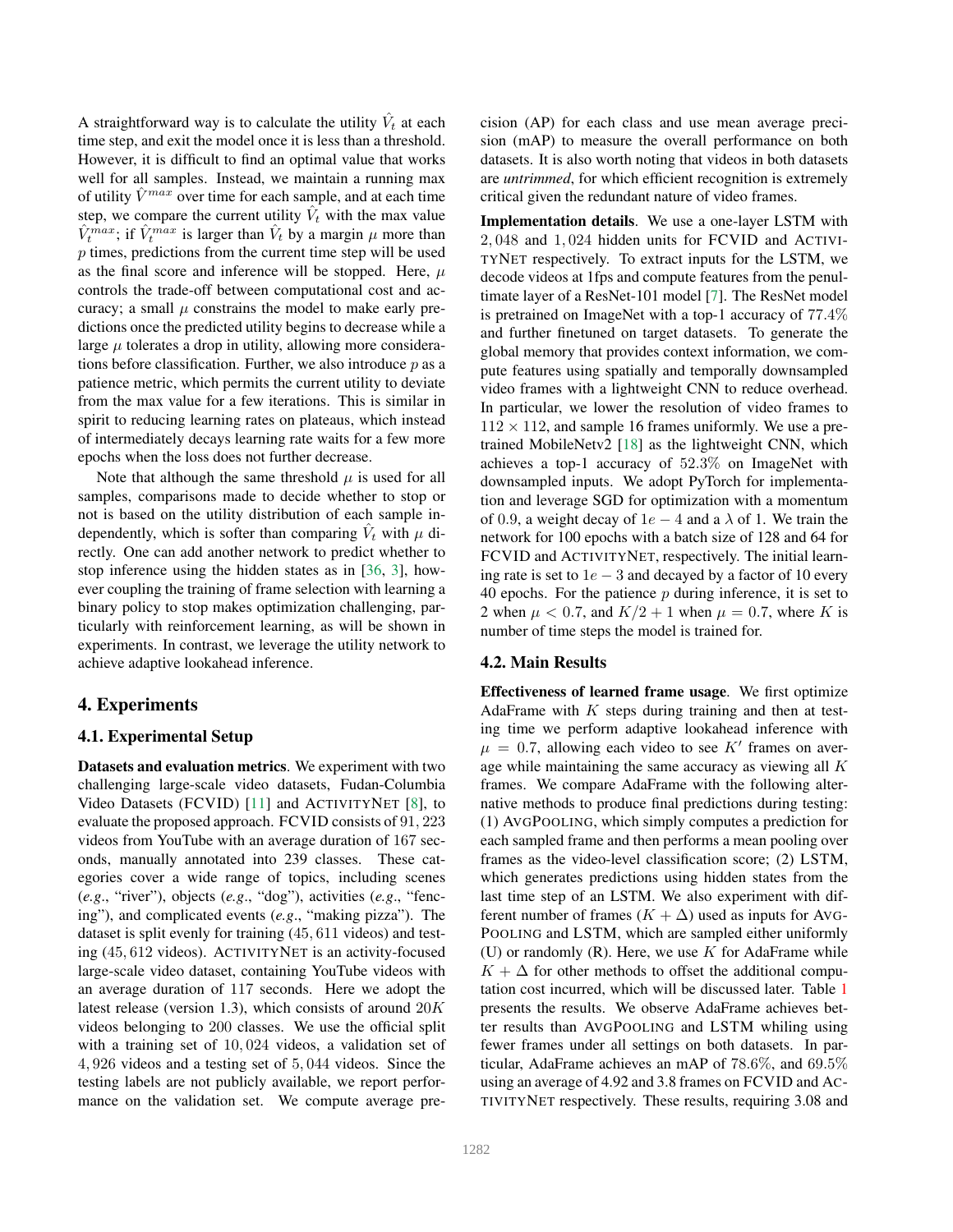A straightforward way is to calculate the utility  $\hat{V}_t$  at each time step, and exit the model once it is less than a threshold. However, it is difficult to find an optimal value that works well for all samples. Instead, we maintain a running max of utility  $\hat{V}^{max}$  over time for each sample, and at each time step, we compare the current utility  $V_t$  with the max value  $\hat{V}_{t}^{max}$ ; if  $\hat{V}_{t}^{max}$  is larger than  $\hat{V}_{t}$  by a margin  $\mu$  more than p times, predictions from the current time step will be used as the final score and inference will be stopped. Here,  $\mu$ controls the trade-off between computational cost and accuracy; a small  $\mu$  constrains the model to make early predictions once the predicted utility begins to decrease while a large  $\mu$  tolerates a drop in utility, allowing more considerations before classification. Further, we also introduce  $p$  as a patience metric, which permits the current utility to deviate from the max value for a few iterations. This is similar in spirit to reducing learning rates on plateaus, which instead of intermediately decays learning rate waits for a few more epochs when the loss does not further decrease.

Note that although the same threshold  $\mu$  is used for all samples, comparisons made to decide whether to stop or not is based on the utility distribution of each sample independently, which is softer than comparing  $\hat{V}_t$  with  $\mu$  directly. One can add another network to predict whether to stop inference using the hidden states as in [36, 3], however coupling the training of frame selection with learning a binary policy to stop makes optimization challenging, particularly with reinforcement learning, as will be shown in experiments. In contrast, we leverage the utility network to achieve adaptive lookahead inference.

# 4. Experiments

# 4.1. Experimental Setup

Datasets and evaluation metrics. We experiment with two challenging large-scale video datasets, Fudan-Columbia Video Datasets (FCVID) [11] and ACTIVITYNET [8], to evaluate the proposed approach. FCVID consists of 91, 223 videos from YouTube with an average duration of 167 seconds, manually annotated into 239 classes. These categories cover a wide range of topics, including scenes (*e.g*., "river"), objects (*e.g*., "dog"), activities (*e.g*., "fencing"), and complicated events (*e.g*., "making pizza"). The dataset is split evenly for training (45, 611 videos) and testing (45, 612 videos). ACTIVITYNET is an activity-focused large-scale video dataset, containing YouTube videos with an average duration of 117 seconds. Here we adopt the latest release (version 1.3), which consists of around 20K videos belonging to 200 classes. We use the official split with a training set of 10, 024 videos, a validation set of 4, 926 videos and a testing set of 5, 044 videos. Since the testing labels are not publicly available, we report performance on the validation set. We compute average precision (AP) for each class and use mean average precision (mAP) to measure the overall performance on both datasets. It is also worth noting that videos in both datasets are *untrimmed*, for which efficient recognition is extremely critical given the redundant nature of video frames.

Implementation details. We use a one-layer LSTM with 2, 048 and 1, 024 hidden units for FCVID and ACTIVI-TYNET respectively. To extract inputs for the LSTM, we decode videos at 1fps and compute features from the penultimate layer of a ResNet-101 model [7]. The ResNet model is pretrained on ImageNet with a top-1 accuracy of 77.4% and further finetuned on target datasets. To generate the global memory that provides context information, we compute features using spatially and temporally downsampled video frames with a lightweight CNN to reduce overhead. In particular, we lower the resolution of video frames to  $112 \times 112$ , and sample 16 frames uniformly. We use a pretrained MobileNetv2 [18] as the lightweight CNN, which achieves a top-1 accuracy of 52.3% on ImageNet with downsampled inputs. We adopt PyTorch for implementation and leverage SGD for optimization with a momentum of 0.9, a weight decay of  $1e - 4$  and a  $\lambda$  of 1. We train the network for 100 epochs with a batch size of 128 and 64 for FCVID and ACTIVITYNET, respectively. The initial learning rate is set to  $1e - 3$  and decayed by a factor of 10 every 40 epochs. For the patience  $p$  during inference, it is set to 2 when  $\mu$  < 0.7, and  $K/2 + 1$  when  $\mu = 0.7$ , where K is number of time steps the model is trained for.

# 4.2. Main Results

Effectiveness of learned frame usage. We first optimize AdaFrame with  $K$  steps during training and then at testing time we perform adaptive lookahead inference with  $\mu = 0.7$ , allowing each video to see K' frames on average while maintaining the same accuracy as viewing all  $K$ frames. We compare AdaFrame with the following alternative methods to produce final predictions during testing: (1) AVGPOOLING, which simply computes a prediction for each sampled frame and then performs a mean pooling over frames as the video-level classification score; (2) LSTM, which generates predictions using hidden states from the last time step of an LSTM. We also experiment with different number of frames  $(K + \Delta)$  used as inputs for AVG-POOLING and LSTM, which are sampled either uniformly (U) or randomly  $(R)$ . Here, we use K for AdaFrame while  $K + \Delta$  for other methods to offset the additional computation cost incurred, which will be discussed later. Table 1 presents the results. We observe AdaFrame achieves better results than AVGPOOLING and LSTM whiling using fewer frames under all settings on both datasets. In particular, AdaFrame achieves an mAP of 78.6%, and 69.5% using an average of 4.92 and 3.8 frames on FCVID and AC-TIVITYNET respectively. These results, requiring 3.08 and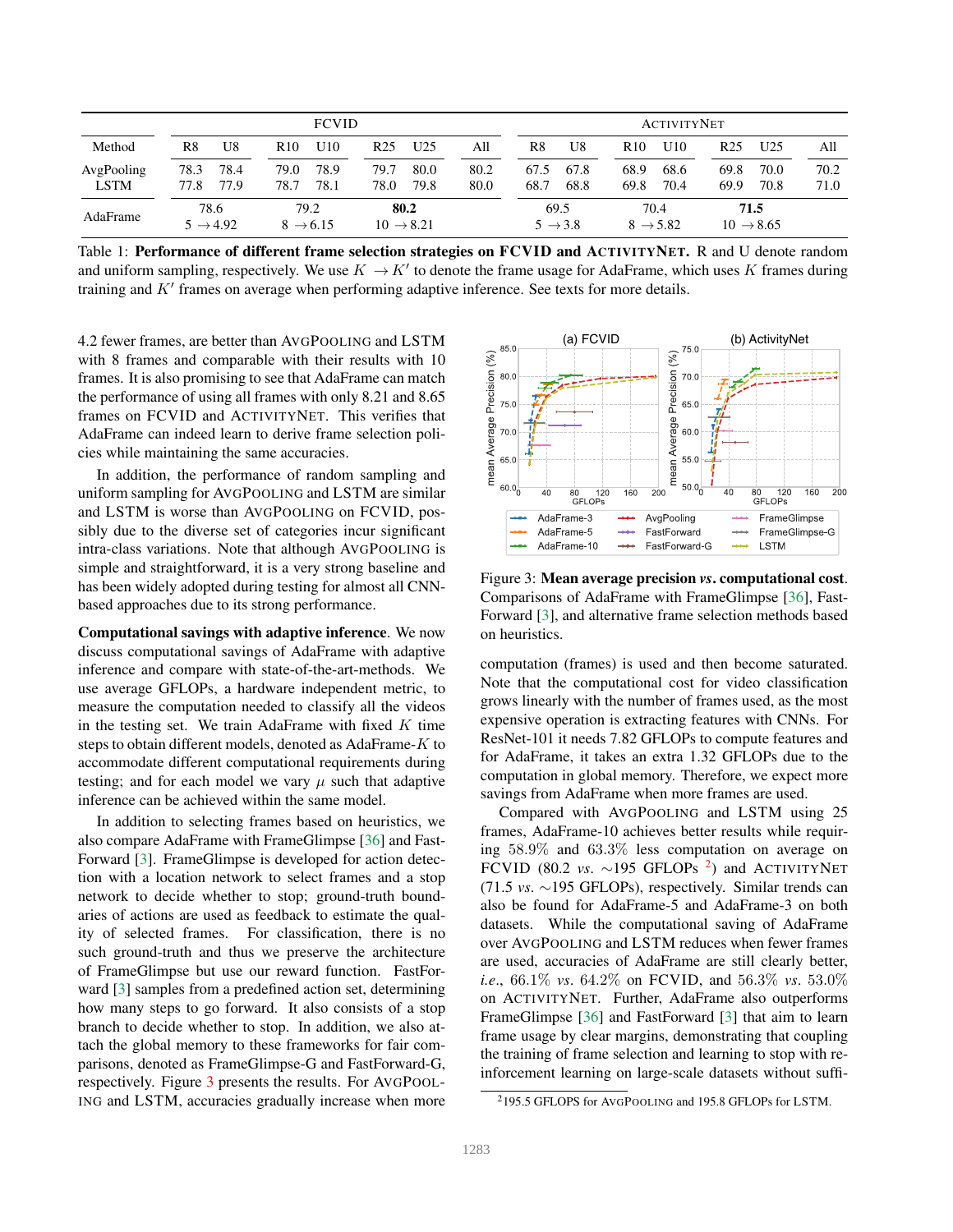|             | <b>FCVID</b>                 |      |                              |      |                               | <b>ACTIVITYNET</b> |      |      |                             |                 |                              |      |                               |      |
|-------------|------------------------------|------|------------------------------|------|-------------------------------|--------------------|------|------|-----------------------------|-----------------|------------------------------|------|-------------------------------|------|
| Method      | R8                           | U8   | R <sub>10</sub>              | U10  | R25                           | U25                | All  | R8   | U8                          | R <sub>10</sub> | U10                          | R25  | U25                           | All  |
| AvgPooling  | 78.3                         | 78.4 | 79.0                         | 78.9 | 79.7                          | 80.0               | 80.2 | 67.5 | 67.8                        | 68.9            | 68.6                         | 69.8 | 70.0                          | 70.2 |
| <b>LSTM</b> | 77.8                         | 77.9 | 78.7                         | 78.1 | 78.0                          | 79.8               | 80.0 | 68.7 | 68.8                        | 69.8            | 70.4                         | 69.9 | 70.8                          | 71.0 |
| AdaFrame    | 78.6<br>$5 \rightarrow 4.92$ |      | 79.2<br>$8 \rightarrow 6.15$ |      | 80.2<br>$10 \rightarrow 8.21$ |                    |      |      | 69.5<br>$5 \rightarrow 3.8$ |                 | 70.4<br>$8 \rightarrow 5.82$ |      | 71.5<br>$10 \rightarrow 8.65$ |      |

Table 1: Performance of different frame selection strategies on FCVID and ACTIVITYNET. R and U denote random and uniform sampling, respectively. We use  $K \to K'$  to denote the frame usage for AdaFrame, which uses K frames during training and  $K'$  frames on average when performing adaptive inference. See texts for more details.

4.2 fewer frames, are better than AVGPOOLING and LSTM with 8 frames and comparable with their results with 10 frames. It is also promising to see that AdaFrame can match the performance of using all frames with only 8.21 and 8.65 frames on FCVID and ACTIVITYNET. This verifies that AdaFrame can indeed learn to derive frame selection policies while maintaining the same accuracies.

In addition, the performance of random sampling and uniform sampling for AVGPOOLING and LSTM are similar and LSTM is worse than AVGPOOLING on FCVID, possibly due to the diverse set of categories incur significant intra-class variations. Note that although AVGPOOLING is simple and straightforward, it is a very strong baseline and has been widely adopted during testing for almost all CNNbased approaches due to its strong performance.

Computational savings with adaptive inference. We now discuss computational savings of AdaFrame with adaptive inference and compare with state-of-the-art-methods. We use average GFLOPs, a hardware independent metric, to measure the computation needed to classify all the videos in the testing set. We train AdaFrame with fixed  $K$  time steps to obtain different models, denoted as AdaFrame-K to accommodate different computational requirements during testing; and for each model we vary  $\mu$  such that adaptive inference can be achieved within the same model.

In addition to selecting frames based on heuristics, we also compare AdaFrame with FrameGlimpse [36] and Fast-Forward [3]. FrameGlimpse is developed for action detection with a location network to select frames and a stop network to decide whether to stop; ground-truth boundaries of actions are used as feedback to estimate the quality of selected frames. For classification, there is no such ground-truth and thus we preserve the architecture of FrameGlimpse but use our reward function. FastForward [3] samples from a predefined action set, determining how many steps to go forward. It also consists of a stop branch to decide whether to stop. In addition, we also attach the global memory to these frameworks for fair comparisons, denoted as FrameGlimpse-G and FastForward-G, respectively. Figure 3 presents the results. For AVGPOOL-ING and LSTM, accuracies gradually increase when more



Figure 3: Mean average precision *vs*. computational cost. Comparisons of AdaFrame with FrameGlimpse [36], Fast-Forward [3], and alternative frame selection methods based on heuristics.

computation (frames) is used and then become saturated. Note that the computational cost for video classification grows linearly with the number of frames used, as the most expensive operation is extracting features with CNNs. For ResNet-101 it needs 7.82 GFLOPs to compute features and for AdaFrame, it takes an extra 1.32 GFLOPs due to the computation in global memory. Therefore, we expect more savings from AdaFrame when more frames are used.

Compared with AVGPOOLING and LSTM using 25 frames, AdaFrame-10 achieves better results while requiring 58.9% and 63.3% less computation on average on FCVID (80.2 *vs*. ∼195 GFLOPs <sup>2</sup> ) and ACTIVITYNET (71.5 *vs*. ∼195 GFLOPs), respectively. Similar trends can also be found for AdaFrame-5 and AdaFrame-3 on both datasets. While the computational saving of AdaFrame over AVGPOOLING and LSTM reduces when fewer frames are used, accuracies of AdaFrame are still clearly better, *i.e*., 66.1% *vs*. 64.2% on FCVID, and 56.3% *vs*. 53.0% on ACTIVITYNET. Further, AdaFrame also outperforms FrameGlimpse [36] and FastForward [3] that aim to learn frame usage by clear margins, demonstrating that coupling the training of frame selection and learning to stop with reinforcement learning on large-scale datasets without suffi-

<sup>2</sup>195.5 GFLOPS for AVGPOOLING and 195.8 GFLOPs for LSTM.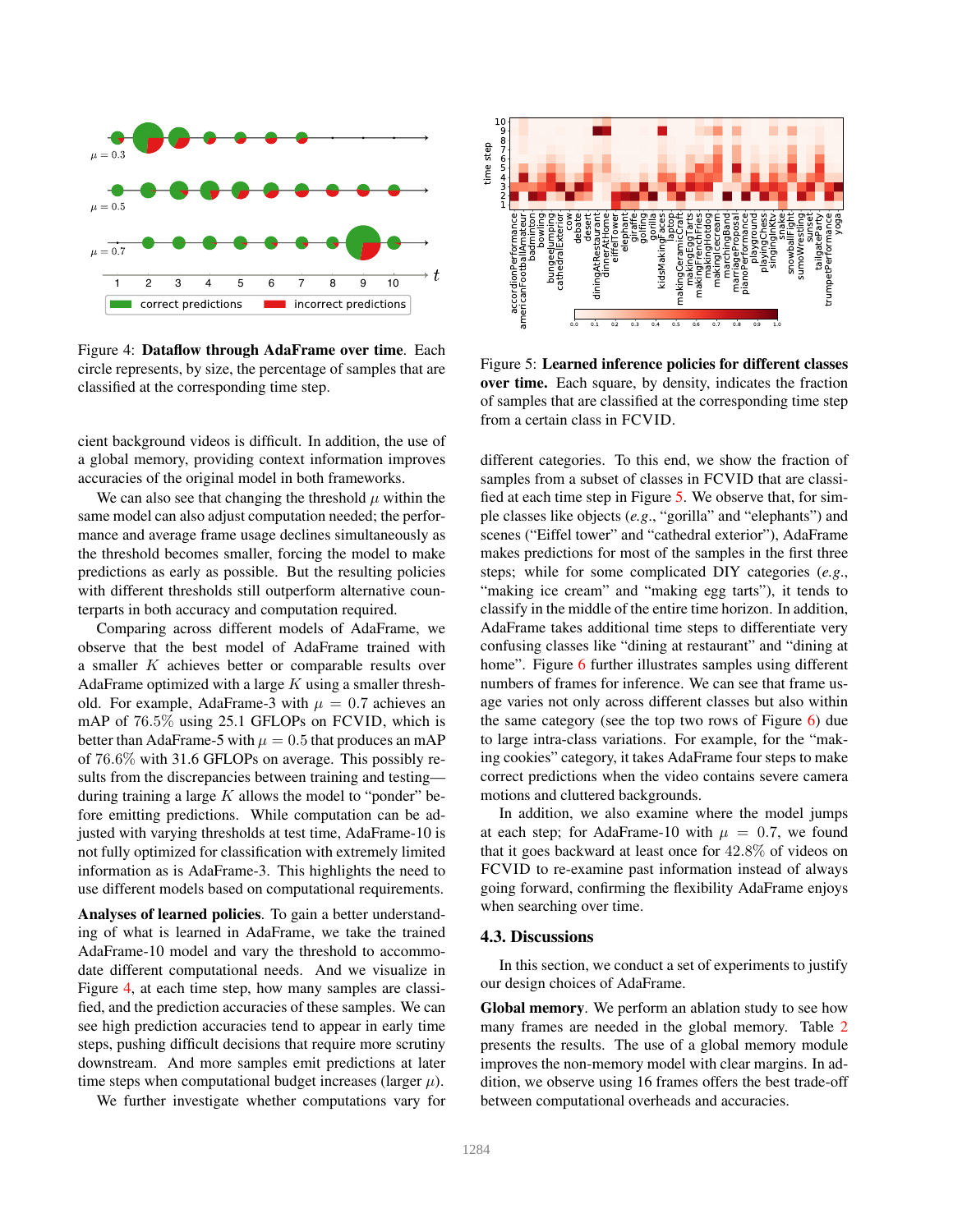

Figure 4: Dataflow through AdaFrame over time. Each circle represents, by size, the percentage of samples that are classified at the corresponding time step.

cient background videos is difficult. In addition, the use of a global memory, providing context information improves accuracies of the original model in both frameworks.

We can also see that changing the threshold  $\mu$  within the same model can also adjust computation needed; the performance and average frame usage declines simultaneously as the threshold becomes smaller, forcing the model to make predictions as early as possible. But the resulting policies with different thresholds still outperform alternative counterparts in both accuracy and computation required.

Comparing across different models of AdaFrame, we observe that the best model of AdaFrame trained with a smaller K achieves better or comparable results over AdaFrame optimized with a large  $K$  using a smaller threshold. For example, AdaFrame-3 with  $\mu = 0.7$  achieves an mAP of 76.5% using 25.1 GFLOPs on FCVID, which is better than AdaFrame-5 with  $\mu = 0.5$  that produces an mAP of 76.6% with 31.6 GFLOPs on average. This possibly results from the discrepancies between training and testing during training a large  $K$  allows the model to "ponder" before emitting predictions. While computation can be adjusted with varying thresholds at test time, AdaFrame-10 is not fully optimized for classification with extremely limited information as is AdaFrame-3. This highlights the need to use different models based on computational requirements.

Analyses of learned policies. To gain a better understanding of what is learned in AdaFrame, we take the trained AdaFrame-10 model and vary the threshold to accommodate different computational needs. And we visualize in Figure 4, at each time step, how many samples are classified, and the prediction accuracies of these samples. We can see high prediction accuracies tend to appear in early time steps, pushing difficult decisions that require more scrutiny downstream. And more samples emit predictions at later time steps when computational budget increases (larger  $\mu$ ).

We further investigate whether computations vary for



Figure 5: Learned inference policies for different classes over time. Each square, by density, indicates the fraction of samples that are classified at the corresponding time step from a certain class in FCVID.

different categories. To this end, we show the fraction of samples from a subset of classes in FCVID that are classified at each time step in Figure 5. We observe that, for simple classes like objects (*e.g*., "gorilla" and "elephants") and scenes ("Eiffel tower" and "cathedral exterior"), AdaFrame makes predictions for most of the samples in the first three steps; while for some complicated DIY categories (*e.g*., "making ice cream" and "making egg tarts"), it tends to classify in the middle of the entire time horizon. In addition, AdaFrame takes additional time steps to differentiate very confusing classes like "dining at restaurant" and "dining at home". Figure 6 further illustrates samples using different numbers of frames for inference. We can see that frame usage varies not only across different classes but also within the same category (see the top two rows of Figure 6) due to large intra-class variations. For example, for the "making cookies" category, it takes AdaFrame four steps to make correct predictions when the video contains severe camera motions and cluttered backgrounds.

In addition, we also examine where the model jumps at each step; for AdaFrame-10 with  $\mu = 0.7$ , we found that it goes backward at least once for 42.8% of videos on FCVID to re-examine past information instead of always going forward, confirming the flexibility AdaFrame enjoys when searching over time.

#### 4.3. Discussions

In this section, we conduct a set of experiments to justify our design choices of AdaFrame.

Global memory. We perform an ablation study to see how many frames are needed in the global memory. Table 2 presents the results. The use of a global memory module improves the non-memory model with clear margins. In addition, we observe using 16 frames offers the best trade-off between computational overheads and accuracies.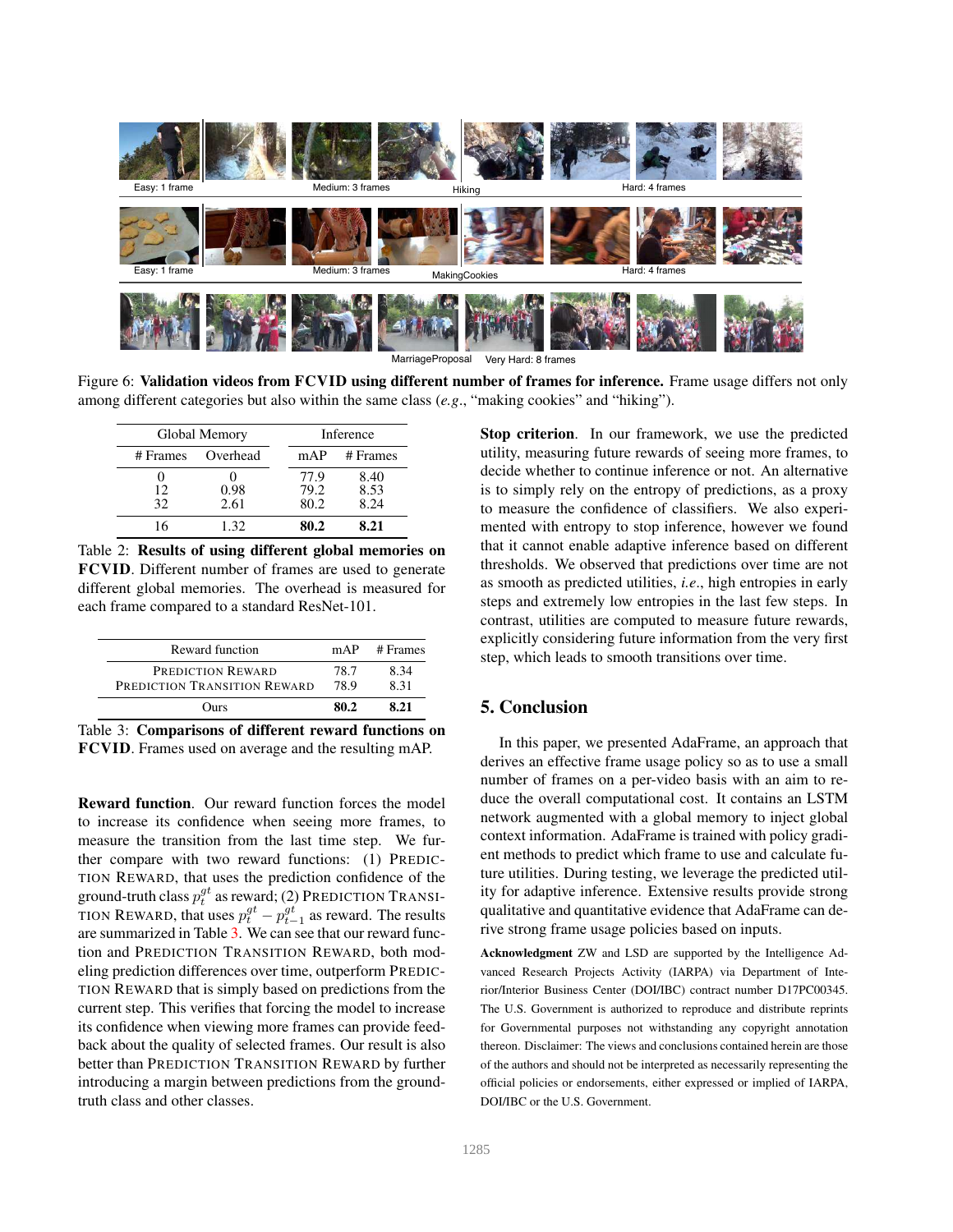

MarriageProposal Very Hard: 8 frames

Figure 6: Validation videos from FCVID using different number of frames for inference. Frame usage differs not only among different categories but also within the same class (*e.g*., "making cookies" and "hiking").

|          | Global Memory |      | Inference      |  |  |  |
|----------|---------------|------|----------------|--|--|--|
| # Frames | Overhead      |      | $mAP$ # Frames |  |  |  |
|          |               | 77.9 | 8.40           |  |  |  |
| 12       | 0.98          | 79.2 | 8.53           |  |  |  |
| 32       | 2.61          | 80.2 | 8.24           |  |  |  |
|          | 132           | 80.2 | 8.21           |  |  |  |

Table 2: Results of using different global memories on FCVID. Different number of frames are used to generate different global memories. The overhead is measured for each frame compared to a standard ResNet-101.

| Reward function                                   | mAP          | # Frames     |
|---------------------------------------------------|--------------|--------------|
| PREDICTION REWARD<br>PREDICTION TRANSITION REWARD | 78.7<br>78.9 | 8.34<br>8.31 |
| Ours                                              | 80 2         | 8 21         |

Table 3: Comparisons of different reward functions on FCVID. Frames used on average and the resulting mAP.

Reward function. Our reward function forces the model to increase its confidence when seeing more frames, to measure the transition from the last time step. We further compare with two reward functions: (1) PREDIC-TION REWARD, that uses the prediction confidence of the ground-truth class  $p_t^{gt}$  as reward; (2) PREDICTION TRANSI-TION REWARD, that uses  $p_t^{gt} - p_{t-1}^{gt}$  as reward. The results are summarized in Table 3. We can see that our reward function and PREDICTION TRANSITION REWARD, both modeling prediction differences over time, outperform PREDIC-TION REWARD that is simply based on predictions from the current step. This verifies that forcing the model to increase its confidence when viewing more frames can provide feedback about the quality of selected frames. Our result is also better than PREDICTION TRANSITION REWARD by further introducing a margin between predictions from the groundtruth class and other classes.

Stop criterion. In our framework, we use the predicted utility, measuring future rewards of seeing more frames, to decide whether to continue inference or not. An alternative is to simply rely on the entropy of predictions, as a proxy to measure the confidence of classifiers. We also experimented with entropy to stop inference, however we found that it cannot enable adaptive inference based on different thresholds. We observed that predictions over time are not as smooth as predicted utilities, *i.e*., high entropies in early steps and extremely low entropies in the last few steps. In contrast, utilities are computed to measure future rewards, explicitly considering future information from the very first step, which leads to smooth transitions over time.

# 5. Conclusion

In this paper, we presented AdaFrame, an approach that derives an effective frame usage policy so as to use a small number of frames on a per-video basis with an aim to reduce the overall computational cost. It contains an LSTM network augmented with a global memory to inject global context information. AdaFrame is trained with policy gradient methods to predict which frame to use and calculate future utilities. During testing, we leverage the predicted utility for adaptive inference. Extensive results provide strong qualitative and quantitative evidence that AdaFrame can derive strong frame usage policies based on inputs.

Acknowledgment ZW and LSD are supported by the Intelligence Advanced Research Projects Activity (IARPA) via Department of Interior/Interior Business Center (DOI/IBC) contract number D17PC00345. The U.S. Government is authorized to reproduce and distribute reprints for Governmental purposes not withstanding any copyright annotation thereon. Disclaimer: The views and conclusions contained herein are those of the authors and should not be interpreted as necessarily representing the official policies or endorsements, either expressed or implied of IARPA, DOI/IBC or the U.S. Government.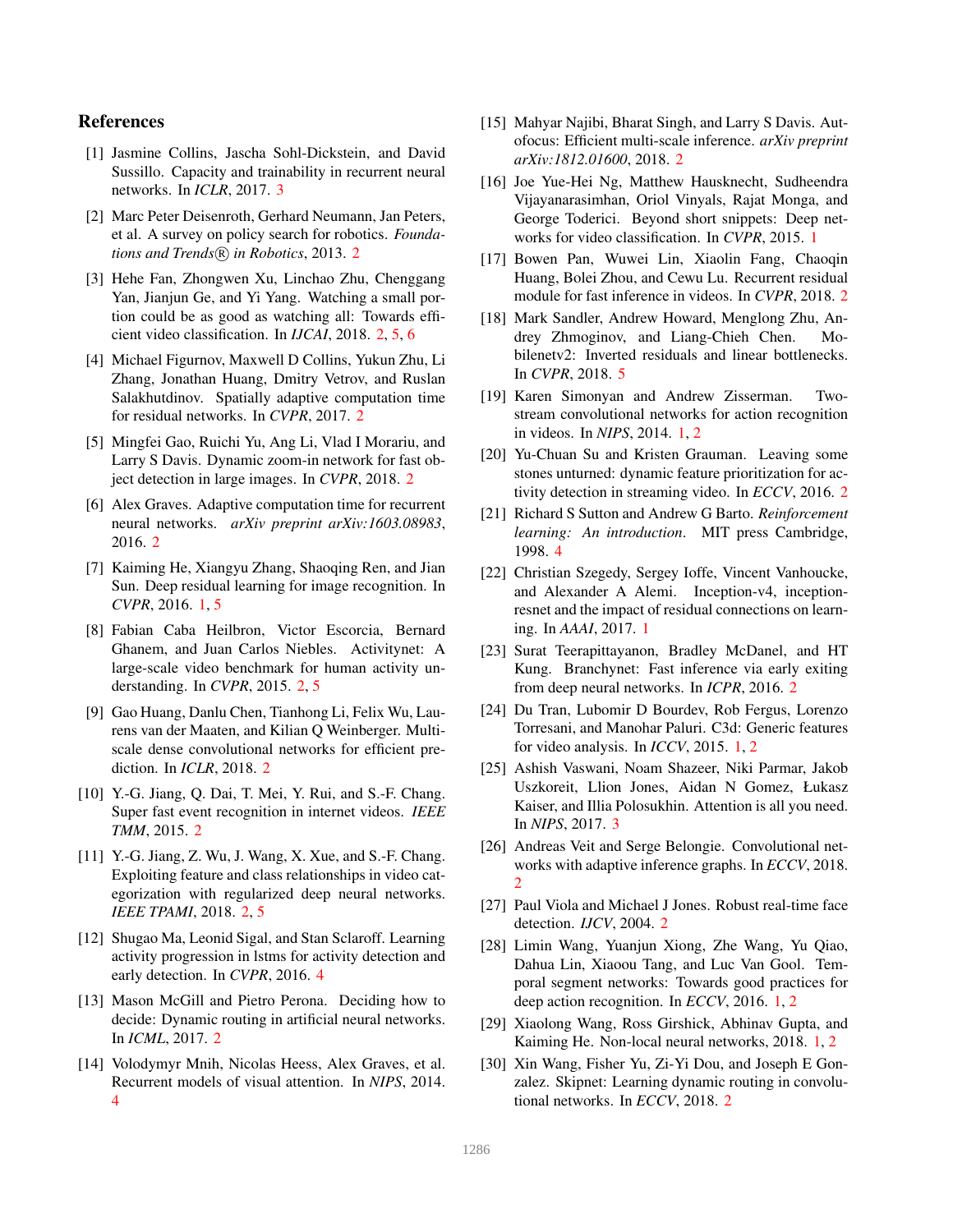### References

- [1] Jasmine Collins, Jascha Sohl-Dickstein, and David Sussillo. Capacity and trainability in recurrent neural networks. In *ICLR*, 2017. 3
- [2] Marc Peter Deisenroth, Gerhard Neumann, Jan Peters, et al. A survey on policy search for robotics. *Foundations and Trends*  $(R)$  *in Robotics*, 2013. 2
- [3] Hehe Fan, Zhongwen Xu, Linchao Zhu, Chenggang Yan, Jianjun Ge, and Yi Yang. Watching a small portion could be as good as watching all: Towards efficient video classification. In *IJCAI*, 2018. 2, 5, 6
- [4] Michael Figurnov, Maxwell D Collins, Yukun Zhu, Li Zhang, Jonathan Huang, Dmitry Vetrov, and Ruslan Salakhutdinov. Spatially adaptive computation time for residual networks. In *CVPR*, 2017. 2
- [5] Mingfei Gao, Ruichi Yu, Ang Li, Vlad I Morariu, and Larry S Davis. Dynamic zoom-in network for fast object detection in large images. In *CVPR*, 2018. 2
- [6] Alex Graves. Adaptive computation time for recurrent neural networks. *arXiv preprint arXiv:1603.08983*, 2016. 2
- [7] Kaiming He, Xiangyu Zhang, Shaoqing Ren, and Jian Sun. Deep residual learning for image recognition. In *CVPR*, 2016. 1, 5
- [8] Fabian Caba Heilbron, Victor Escorcia, Bernard Ghanem, and Juan Carlos Niebles. Activitynet: A large-scale video benchmark for human activity understanding. In *CVPR*, 2015. 2, 5
- [9] Gao Huang, Danlu Chen, Tianhong Li, Felix Wu, Laurens van der Maaten, and Kilian Q Weinberger. Multiscale dense convolutional networks for efficient prediction. In *ICLR*, 2018. 2
- [10] Y.-G. Jiang, Q. Dai, T. Mei, Y. Rui, and S.-F. Chang. Super fast event recognition in internet videos. *IEEE TMM*, 2015. 2
- [11] Y.-G. Jiang, Z. Wu, J. Wang, X. Xue, and S.-F. Chang. Exploiting feature and class relationships in video categorization with regularized deep neural networks. *IEEE TPAMI*, 2018. 2, 5
- [12] Shugao Ma, Leonid Sigal, and Stan Sclaroff. Learning activity progression in lstms for activity detection and early detection. In *CVPR*, 2016. 4
- [13] Mason McGill and Pietro Perona. Deciding how to decide: Dynamic routing in artificial neural networks. In *ICML*, 2017. 2
- [14] Volodymyr Mnih, Nicolas Heess, Alex Graves, et al. Recurrent models of visual attention. In *NIPS*, 2014. 4
- [15] Mahyar Najibi, Bharat Singh, and Larry S Davis. Autofocus: Efficient multi-scale inference. *arXiv preprint arXiv:1812.01600*, 2018. 2
- [16] Joe Yue-Hei Ng, Matthew Hausknecht, Sudheendra Vijayanarasimhan, Oriol Vinyals, Rajat Monga, and George Toderici. Beyond short snippets: Deep networks for video classification. In *CVPR*, 2015. 1
- [17] Bowen Pan, Wuwei Lin, Xiaolin Fang, Chaoqin Huang, Bolei Zhou, and Cewu Lu. Recurrent residual module for fast inference in videos. In *CVPR*, 2018. 2
- [18] Mark Sandler, Andrew Howard, Menglong Zhu, Andrey Zhmoginov, and Liang-Chieh Chen. Mobilenetv2: Inverted residuals and linear bottlenecks. In *CVPR*, 2018. 5
- [19] Karen Simonyan and Andrew Zisserman. Twostream convolutional networks for action recognition in videos. In *NIPS*, 2014. 1, 2
- [20] Yu-Chuan Su and Kristen Grauman. Leaving some stones unturned: dynamic feature prioritization for activity detection in streaming video. In *ECCV*, 2016. 2
- [21] Richard S Sutton and Andrew G Barto. *Reinforcement learning: An introduction*. MIT press Cambridge, 1998. 4
- [22] Christian Szegedy, Sergey Ioffe, Vincent Vanhoucke, and Alexander A Alemi. Inception-v4, inceptionresnet and the impact of residual connections on learning. In *AAAI*, 2017. 1
- [23] Surat Teerapittayanon, Bradley McDanel, and HT Kung. Branchynet: Fast inference via early exiting from deep neural networks. In *ICPR*, 2016. 2
- [24] Du Tran, Lubomir D Bourdev, Rob Fergus, Lorenzo Torresani, and Manohar Paluri. C3d: Generic features for video analysis. In *ICCV*, 2015. 1, 2
- [25] Ashish Vaswani, Noam Shazeer, Niki Parmar, Jakob Uszkoreit, Llion Jones, Aidan N Gomez, Łukasz Kaiser, and Illia Polosukhin. Attention is all you need. In *NIPS*, 2017. 3
- [26] Andreas Veit and Serge Belongie. Convolutional networks with adaptive inference graphs. In *ECCV*, 2018.  $\mathcal{D}_{\mathcal{L}}$
- [27] Paul Viola and Michael J Jones. Robust real-time face detection. *IJCV*, 2004. 2
- [28] Limin Wang, Yuanjun Xiong, Zhe Wang, Yu Qiao, Dahua Lin, Xiaoou Tang, and Luc Van Gool. Temporal segment networks: Towards good practices for deep action recognition. In *ECCV*, 2016. 1, 2
- [29] Xiaolong Wang, Ross Girshick, Abhinav Gupta, and Kaiming He. Non-local neural networks, 2018. 1, 2
- [30] Xin Wang, Fisher Yu, Zi-Yi Dou, and Joseph E Gonzalez. Skipnet: Learning dynamic routing in convolutional networks. In *ECCV*, 2018. 2